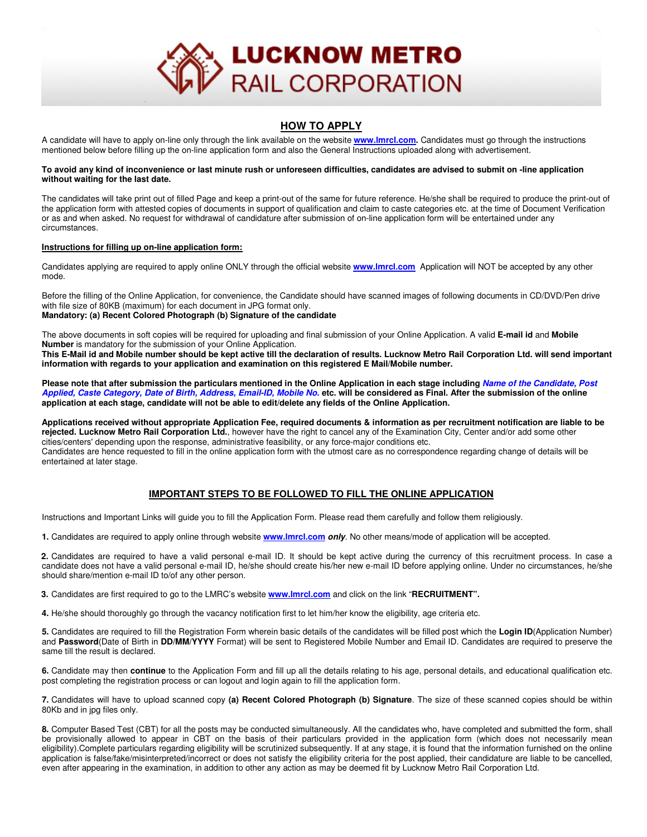

## **HOW TO APPLY**

A candidate will have to apply on-line only through the link available on the website **www.lmrcl.com.** Candidates must go through the instructions mentioned below before filling up the on-line application form and also the General Instructions uploaded along with advertisement.

### **To avoid any kind of inconvenience or last minute rush or unforeseen difficulties, candidates are advised to submit on -line application without waiting for the last date.**

The candidates will take print out of filled Page and keep a print-out of the same for future reference. He/she shall be required to produce the print-out of the application form with attested copies of documents in support of qualification and claim to caste categories etc. at the time of Document Verification or as and when asked. No request for withdrawal of candidature after submission of on-line application form will be entertained under any circumstances.

### **Instructions for filling up on-line application form:**

Candidates applying are required to apply online ONLY through the official website **www.lmrcl.com** Application will NOT be accepted by any other mode.

Before the filling of the Online Application, for convenience, the Candidate should have scanned images of following documents in CD/DVD/Pen drive with file size of 80KB (maximum) for each document in JPG format only. **Mandatory: (a) Recent Colored Photograph (b) Signature of the candidate** 

The above documents in soft copies will be required for uploading and final submission of your Online Application. A valid **E-mail id** and **Mobile Number** is mandatory for the submission of your Online Application.

**This E-Mail id and Mobile number should be kept active till the declaration of results. Lucknow Metro Rail Corporation Ltd. will send important information with regards to your application and examination on this registered E Mail/Mobile number.**

**Please note that after submission the particulars mentioned in the Online Application in each stage including** *Name of the Candidate, Post Applied, Caste Category, Date of Birth, Address, Email-ID, Mobile No.* **etc. will be considered as Final. After the submission of the online application at each stage, candidate will not be able to edit/delete any fields of the Online Application.**

**Applications received without appropriate Application Fee, required documents & information as per recruitment notification are liable to be rejected. Lucknow Metro Rail Corporation Ltd.**, however have the right to cancel any of the Examination City, Center and/or add some other cities/centers' depending upon the response, administrative feasibility, or any force-major conditions etc. Candidates are hence requested to fill in the online application form with the utmost care as no correspondence regarding change of details will be entertained at later stage.

# **IMPORTANT STEPS TO BE FOLLOWED TO FILL THE ONLINE APPLICATION**

Instructions and Important Links will guide you to fill the Application Form. Please read them carefully and follow them religiously.

**1.** Candidates are required to apply online through website **www.lmrcl.com** *only*. No other means/mode of application will be accepted.

**2.** Candidates are required to have a valid personal e-mail ID. It should be kept active during the currency of this recruitment process. In case a candidate does not have a valid personal e-mail ID, he/she should create his/her new e-mail ID before applying online. Under no circumstances, he/she should share/mention e-mail ID to/of any other person.

**3.** Candidates are first required to go to the LMRC's website **www.lmrcl.com** and click on the link "**RECRUITMENT".**

**4.** He/she should thoroughly go through the vacancy notification first to let him/her know the eligibility, age criteria etc.

**5.** Candidates are required to fill the Registration Form wherein basic details of the candidates will be filled post which the **Login ID**(Application Number) and **Password**(Date of Birth in **DD/MM/YYYY** Format) will be sent to Registered Mobile Number and Email ID. Candidates are required to preserve the same till the result is declared.

**6.** Candidate may then **continue** to the Application Form and fill up all the details relating to his age, personal details, and educational qualification etc. post completing the registration process or can logout and login again to fill the application form.

**7.** Candidates will have to upload scanned copy **(a) Recent Colored Photograph (b) Signature**. The size of these scanned copies should be within 80Kb and in jpg files only.

**8.** Computer Based Test (CBT) for all the posts may be conducted simultaneously. All the candidates who, have completed and submitted the form, shall be provisionally allowed to appear in CBT on the basis of their particulars provided in the application form (which does not necessarily mean eligibility).Complete particulars regarding eligibility will be scrutinized subsequently. If at any stage, it is found that the information furnished on the online application is false/fake/misinterpreted/incorrect or does not satisfy the eligibility criteria for the post applied, their candidature are liable to be cancelled, even after appearing in the examination, in addition to other any action as may be deemed fit by Lucknow Metro Rail Corporation Ltd.